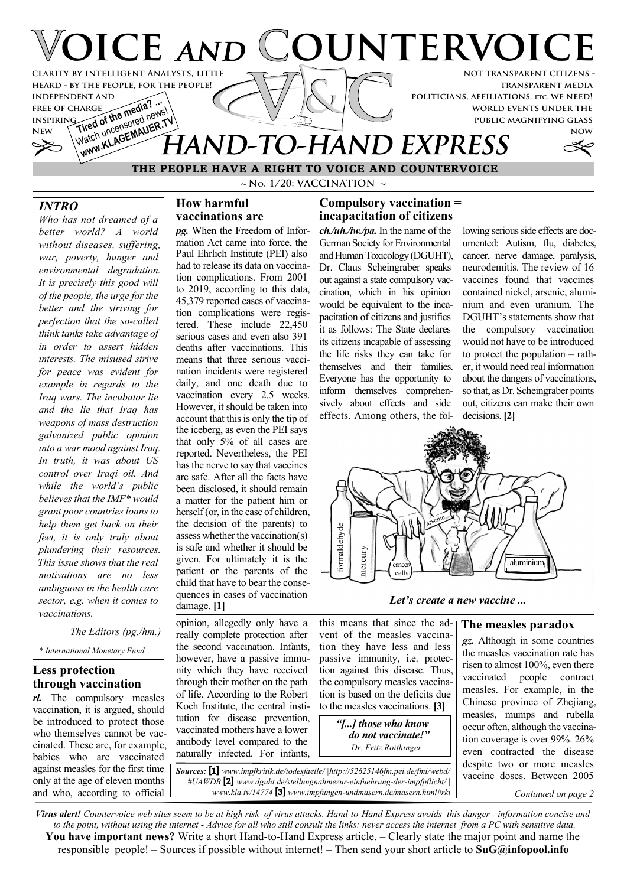

**transparent media politicians, affiliations, etc. we need! world events under the public magnifying glass**



# **THE PEOPLE HAVE A RIGHT TO VOICE AND COUNTERVOICE** Watch uncertain AUER. THAND-TO-HAND EXPRESS

**~ No. 1/20: VACCINATION ~**

### *INTRO*

**independent and free of charge inspiring**

**FREE OF CHARGE The media? ...**<br>INSPIRING of the media new

Watch uncensored news!

*Who has not dreamed of a better world? A world without diseases, suffering, war, poverty, hunger and environmental degradation. It is precisely this good will of the people, the urge for the better and the striving for perfection that the so-called think tanks take advantage of in order to assert hidden interests. The misused strive for peace was evident for example in regards to the Iraq wars. The incubator lie and the lie that Iraq has weapons of mass destruction galvanized public opinion into a war mood against Iraq. In truth, it was about US control over Iraqi oil. And while the world's public believes that the IMF\* would grant poor countries loans to help them get back on their feet, it is only truly about plundering their resources. This issue shows that the real motivations are no less ambiguous in the health care sector, e.g. when it comes to vaccinations.*

 *The Editors (pg./hm.)*

*\* International Monetary Fund*

#### **Less protection through vaccination**

*rl.* The compulsory measles vaccination, it is argued, should be introduced to protect those who themselves cannot be vaccinated. These are, for example, babies who are vaccinated against measles for the first time only at the age of eleven months and who, according to official

#### **How harmful vaccinations are**

*pg.* When the Freedom of Information Act came into force, the Paul Ehrlich Institute (PEI) also had to release its data on vaccination complications. From 2001 to 2019, according to this data, 45,379 reported cases of vaccination complications were registered. These include 22,450 serious cases and even also 391 deaths after vaccinations. This means that three serious vaccination incidents were registered daily, and one death due to vaccination every 2.5 weeks. However, it should be taken into account that this is only the tip of the iceberg, as even the PEI says that only 5% of all cases are reported. Nevertheless, the PEI has the nerve to say that vaccines are safe. After all the facts have been disclosed, it should remain a matter for the patient him or herself (or, in the case of children, the decision of the parents) to assess whether the vaccination(s) is safe and whether it should be given. For ultimately it is the patient or the parents of the child that have to bear the consequences in cases of vaccination damage. **[1]**

opinion, allegedly only have a really complete protection after the second vaccination. Infants, however, have a passive immunity which they have received through their mother on the path of life. According to the Robert Koch Institute, the central institution for disease prevention, vaccinated mothers have a lower antibody level compared to the naturally infected. For infants,

### **Compulsory vaccination = incapacitation of citizens**

*ch./uh./iw./pa.* In the name of the German Society for Environmental and Human Toxicology (DGUHT), Dr. Claus Scheingraber speaks out against a state compulsory vaccination, which in his opinion would be equivalent to the incapacitation of citizens and justifies it as follows: The State declares its citizens incapable of assessing the life risks they can take for themselves and their families. Everyone has the opportunity to inform themselves comprehensively about effects and side effects. Among others, the following serious side effects are documented: Autism, flu, diabetes, cancer, nerve damage, paralysis, neurodemitis. The review of 16 vaccines found that vaccines contained nickel, arsenic, aluminium and even uranium. The DGUHT's statements show that the compulsory vaccination would not have to be introduced to protect the population – rather, it would need real information about the dangers of vaccinations, so that, as Dr. Scheingraber points out, citizens can make their own decisions. **[2]**



*Let's create a new vaccine ...*

#### this means that since the ad-**The measles paradox**

vent of the measles vaccination they have less and less passive immunity, i.e. protection against this disease. Thus, the compulsory measles vaccination is based on the deficits due to the measles vaccinations. **[3]**

> *"[...] those who know do not vaccinate!" Dr. Fritz Roithinger*

*Sources:* **[1]** *www.impfkritik.de/todesfaelle/ |http://52625146fm.pei.de/fmi/webd/ #UAWDB* **[2]** *www.dguht.de/stellungnahmezur-einfuehrung-der-impfpflicht/ | www.kla.tv/14774* **[3]** *www.impfungen-undmasern.de/masern.html#rki* *gz.* Although in some countries the measles vaccination rate has risen to almost 100%, even there vaccinated people contract measles. For example, in the Chinese province of Zheijang, measles, mumps and rubella occur often, although the vaccination coverage is over 99%. 26% even contracted the disease despite two or more measles vaccine doses. Between 2005

*Continued on page 2*

*Virus alert! Countervoice web sites seem to be at high risk of virus attacks. Hand-to-Hand Express avoids this danger - information concise and to the point, without using the internet - Advice for all who still consult the links: never access the internet from a PC with sensitive data.* **You have important news?** Write a short Hand-to-Hand Express article. – Clearly state the major point and name the responsible people! – Sources if possible without internet! – Then send your short article to **SuG@infopool.info**